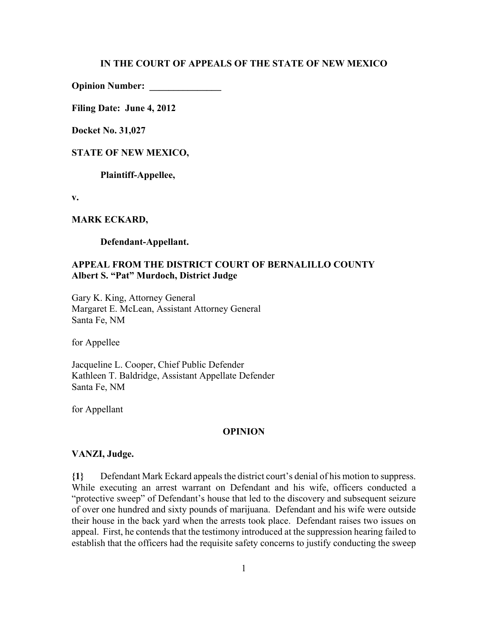## **IN THE COURT OF APPEALS OF THE STATE OF NEW MEXICO**

**Opinion Number: \_\_\_\_\_\_\_\_\_\_\_\_\_\_\_**

**Filing Date: June 4, 2012**

**Docket No. 31,027**

#### **STATE OF NEW MEXICO,**

**Plaintiff-Appellee,**

**v.**

#### **MARK ECKARD,**

**Defendant-Appellant.**

# **APPEAL FROM THE DISTRICT COURT OF BERNALILLO COUNTY Albert S. "Pat" Murdoch, District Judge**

Gary K. King, Attorney General Margaret E. McLean, Assistant Attorney General Santa Fe, NM

for Appellee

Jacqueline L. Cooper, Chief Public Defender Kathleen T. Baldridge, Assistant Appellate Defender Santa Fe, NM

for Appellant

#### **OPINION**

### **VANZI, Judge.**

**{1}** Defendant Mark Eckard appeals the district court's denial of his motion to suppress. While executing an arrest warrant on Defendant and his wife, officers conducted a "protective sweep" of Defendant's house that led to the discovery and subsequent seizure of over one hundred and sixty pounds of marijuana. Defendant and his wife were outside their house in the back yard when the arrests took place. Defendant raises two issues on appeal. First, he contends that the testimony introduced at the suppression hearing failed to establish that the officers had the requisite safety concerns to justify conducting the sweep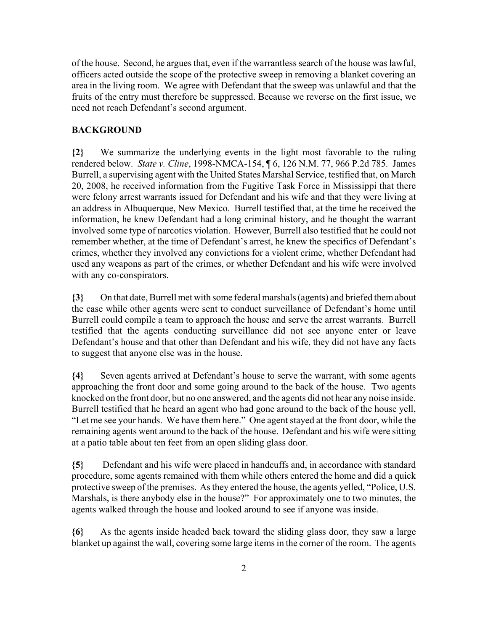of the house. Second, he argues that, even if the warrantless search of the house was lawful, officers acted outside the scope of the protective sweep in removing a blanket covering an area in the living room. We agree with Defendant that the sweep was unlawful and that the fruits of the entry must therefore be suppressed. Because we reverse on the first issue, we need not reach Defendant's second argument.

## **BACKGROUND**

**{2}** We summarize the underlying events in the light most favorable to the ruling rendered below. *State v. Cline*, 1998-NMCA-154, ¶ 6, 126 N.M. 77, 966 P.2d 785. James Burrell, a supervising agent with the United States Marshal Service, testified that, on March 20, 2008, he received information from the Fugitive Task Force in Mississippi that there were felony arrest warrants issued for Defendant and his wife and that they were living at an address in Albuquerque, New Mexico. Burrell testified that, at the time he received the information, he knew Defendant had a long criminal history, and he thought the warrant involved some type of narcotics violation. However, Burrell also testified that he could not remember whether, at the time of Defendant's arrest, he knew the specifics of Defendant's crimes, whether they involved any convictions for a violent crime, whether Defendant had used any weapons as part of the crimes, or whether Defendant and his wife were involved with any co-conspirators.

**{3}** On that date, Burrell met with some federal marshals (agents) and briefed them about the case while other agents were sent to conduct surveillance of Defendant's home until Burrell could compile a team to approach the house and serve the arrest warrants. Burrell testified that the agents conducting surveillance did not see anyone enter or leave Defendant's house and that other than Defendant and his wife, they did not have any facts to suggest that anyone else was in the house.

**{4}** Seven agents arrived at Defendant's house to serve the warrant, with some agents approaching the front door and some going around to the back of the house. Two agents knocked on the front door, but no one answered, and the agents did not hear any noise inside. Burrell testified that he heard an agent who had gone around to the back of the house yell, "Let me see your hands. We have them here." One agent stayed at the front door, while the remaining agents went around to the back of the house. Defendant and his wife were sitting at a patio table about ten feet from an open sliding glass door.

**{5}** Defendant and his wife were placed in handcuffs and, in accordance with standard procedure, some agents remained with them while others entered the home and did a quick protective sweep of the premises. As they entered the house, the agents yelled, "Police, U.S. Marshals, is there anybody else in the house?" For approximately one to two minutes, the agents walked through the house and looked around to see if anyone was inside.

**{6}** As the agents inside headed back toward the sliding glass door, they saw a large blanket up against the wall, covering some large items in the corner of the room. The agents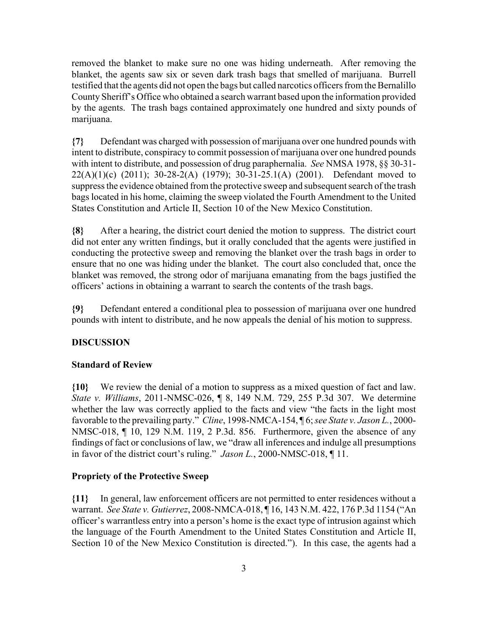removed the blanket to make sure no one was hiding underneath. After removing the blanket, the agents saw six or seven dark trash bags that smelled of marijuana. Burrell testified that the agents did not open the bags but called narcotics officers from the Bernalillo County Sheriff's Office who obtained a search warrant based upon the information provided by the agents. The trash bags contained approximately one hundred and sixty pounds of marijuana.

**{7}** Defendant was charged with possession of marijuana over one hundred pounds with intent to distribute, conspiracy to commit possession of marijuana over one hundred pounds with intent to distribute, and possession of drug paraphernalia. *See* NMSA 1978, §§ 30-31- 22(A)(1)(c) (2011); 30-28-2(A) (1979); 30-31-25.1(A) (2001). Defendant moved to suppress the evidence obtained from the protective sweep and subsequent search of the trash bags located in his home, claiming the sweep violated the Fourth Amendment to the United States Constitution and Article II, Section 10 of the New Mexico Constitution.

**{8}** After a hearing, the district court denied the motion to suppress. The district court did not enter any written findings, but it orally concluded that the agents were justified in conducting the protective sweep and removing the blanket over the trash bags in order to ensure that no one was hiding under the blanket. The court also concluded that, once the blanket was removed, the strong odor of marijuana emanating from the bags justified the officers' actions in obtaining a warrant to search the contents of the trash bags.

**{9}** Defendant entered a conditional plea to possession of marijuana over one hundred pounds with intent to distribute, and he now appeals the denial of his motion to suppress.

# **DISCUSSION**

### **Standard of Review**

**{10}** We review the denial of a motion to suppress as a mixed question of fact and law. *State v. Williams*, 2011-NMSC-026, ¶ 8, 149 N.M. 729, 255 P.3d 307. We determine whether the law was correctly applied to the facts and view "the facts in the light most favorable to the prevailing party." *Cline*, 1998-NMCA-154, ¶ 6; *see State v. Jason L.*, 2000- NMSC-018, ¶ 10, 129 N.M. 119, 2 P.3d. 856. Furthermore, given the absence of any findings of fact or conclusions of law, we "draw all inferences and indulge all presumptions in favor of the district court's ruling." *Jason L.*, 2000-NMSC-018, ¶ 11.

### **Propriety of the Protective Sweep**

**{11}** In general, law enforcement officers are not permitted to enter residences without a warrant. *See State v. Gutierrez*, 2008-NMCA-018, ¶ 16, 143 N.M. 422, 176 P.3d 1154 ("An officer's warrantless entry into a person's home is the exact type of intrusion against which the language of the Fourth Amendment to the United States Constitution and Article II, Section 10 of the New Mexico Constitution is directed."). In this case, the agents had a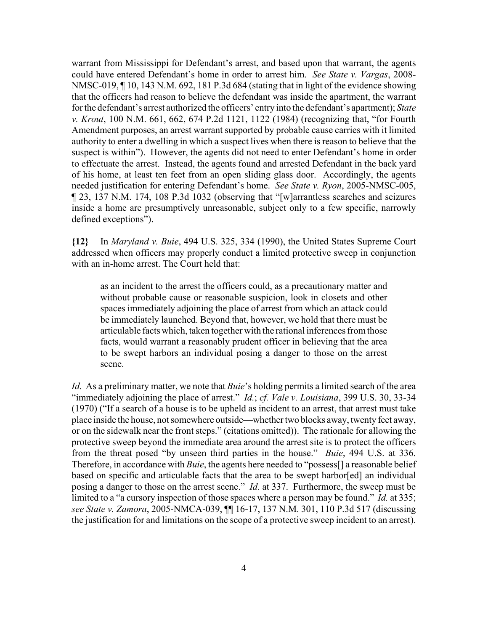warrant from Mississippi for Defendant's arrest, and based upon that warrant, the agents could have entered Defendant's home in order to arrest him. *See State v. Vargas*, 2008- NMSC-019, ¶ 10, 143 N.M. 692, 181 P.3d 684 (stating that in light of the evidence showing that the officers had reason to believe the defendant was inside the apartment, the warrant for the defendant's arrest authorized the officers' entry into the defendant's apartment); *State v. Krout*, 100 N.M. 661, 662, 674 P.2d 1121, 1122 (1984) (recognizing that, "for Fourth Amendment purposes, an arrest warrant supported by probable cause carries with it limited authority to enter a dwelling in which a suspect lives when there is reason to believe that the suspect is within"). However, the agents did not need to enter Defendant's home in order to effectuate the arrest. Instead, the agents found and arrested Defendant in the back yard of his home, at least ten feet from an open sliding glass door. Accordingly, the agents needed justification for entering Defendant's home. *See State v. Ryon*, 2005-NMSC-005, ¶ 23, 137 N.M. 174, 108 P.3d 1032 (observing that "[w]arrantless searches and seizures inside a home are presumptively unreasonable, subject only to a few specific, narrowly defined exceptions").

**{12}** In *Maryland v. Buie*, 494 U.S. 325, 334 (1990), the United States Supreme Court addressed when officers may properly conduct a limited protective sweep in conjunction with an in-home arrest. The Court held that:

as an incident to the arrest the officers could, as a precautionary matter and without probable cause or reasonable suspicion, look in closets and other spaces immediately adjoining the place of arrest from which an attack could be immediately launched. Beyond that, however, we hold that there must be articulable facts which, taken together with the rational inferences from those facts, would warrant a reasonably prudent officer in believing that the area to be swept harbors an individual posing a danger to those on the arrest scene.

*Id.* As a preliminary matter, we note that *Buie*'s holding permits a limited search of the area "immediately adjoining the place of arrest." *Id.*; *cf. Vale v. Louisiana*, 399 U.S. 30, 33-34 (1970) ("If a search of a house is to be upheld as incident to an arrest, that arrest must take place inside the house, not somewhere outside—whether two blocks away, twenty feet away, or on the sidewalk near the front steps." (citations omitted)). The rationale for allowing the protective sweep beyond the immediate area around the arrest site is to protect the officers from the threat posed "by unseen third parties in the house." *Buie*, 494 U.S. at 336. Therefore, in accordance with *Buie*, the agents here needed to "possess[] a reasonable belief based on specific and articulable facts that the area to be swept harbor[ed] an individual posing a danger to those on the arrest scene." *Id.* at 337. Furthermore, the sweep must be limited to a "a cursory inspection of those spaces where a person may be found." *Id.* at 335; *see State v. Zamora*, 2005-NMCA-039, ¶¶ 16-17, 137 N.M. 301, 110 P.3d 517 (discussing the justification for and limitations on the scope of a protective sweep incident to an arrest).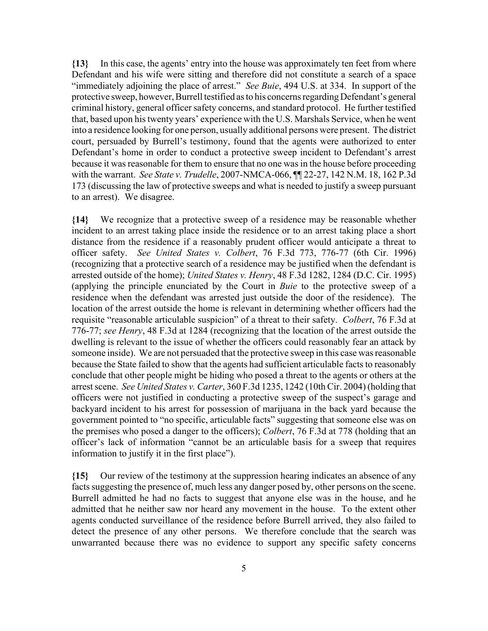**{13}** In this case, the agents' entry into the house was approximately ten feet from where Defendant and his wife were sitting and therefore did not constitute a search of a space "immediately adjoining the place of arrest." *See Buie*, 494 U.S. at 334. In support of the protective sweep, however, Burrell testified as to his concerns regarding Defendant's general criminal history, general officer safety concerns, and standard protocol. He further testified that, based upon his twenty years' experience with the U.S. Marshals Service, when he went into a residence looking for one person, usually additional persons were present. The district court, persuaded by Burrell's testimony, found that the agents were authorized to enter Defendant's home in order to conduct a protective sweep incident to Defendant's arrest because it was reasonable for them to ensure that no one was in the house before proceeding with the warrant. *See State v. Trudelle*, 2007-NMCA-066, ¶¶ 22-27, 142 N.M. 18, 162 P.3d 173 (discussing the law of protective sweeps and what is needed to justify a sweep pursuant to an arrest). We disagree.

**{14}** We recognize that a protective sweep of a residence may be reasonable whether incident to an arrest taking place inside the residence or to an arrest taking place a short distance from the residence if a reasonably prudent officer would anticipate a threat to officer safety. *See United States v. Colbert*, 76 F.3d 773, 776-77 (6th Cir. 1996) (recognizing that a protective search of a residence may be justified when the defendant is arrested outside of the home); *United States v. Henry*, 48 F.3d 1282, 1284 (D.C. Cir. 1995) (applying the principle enunciated by the Court in *Buie* to the protective sweep of a residence when the defendant was arrested just outside the door of the residence). The location of the arrest outside the home is relevant in determining whether officers had the requisite "reasonable articulable suspicion" of a threat to their safety. *Colbert*, 76 F.3d at 776-77; *see Henry*, 48 F.3d at 1284 (recognizing that the location of the arrest outside the dwelling is relevant to the issue of whether the officers could reasonably fear an attack by someone inside). We are not persuaded that the protective sweep in this case was reasonable because the State failed to show that the agents had sufficient articulable facts to reasonably conclude that other people might be hiding who posed a threat to the agents or others at the arrest scene. *See United States v. Carter*, 360 F.3d 1235, 1242 (10th Cir. 2004) (holding that officers were not justified in conducting a protective sweep of the suspect's garage and backyard incident to his arrest for possession of marijuana in the back yard because the government pointed to "no specific, articulable facts" suggesting that someone else was on the premises who posed a danger to the officers); *Colbert*, 76 F.3d at 778 (holding that an officer's lack of information "cannot be an articulable basis for a sweep that requires information to justify it in the first place").

**{15}** Our review of the testimony at the suppression hearing indicates an absence of any facts suggesting the presence of, much less any danger posed by, other persons on the scene. Burrell admitted he had no facts to suggest that anyone else was in the house, and he admitted that he neither saw nor heard any movement in the house. To the extent other agents conducted surveillance of the residence before Burrell arrived, they also failed to detect the presence of any other persons. We therefore conclude that the search was unwarranted because there was no evidence to support any specific safety concerns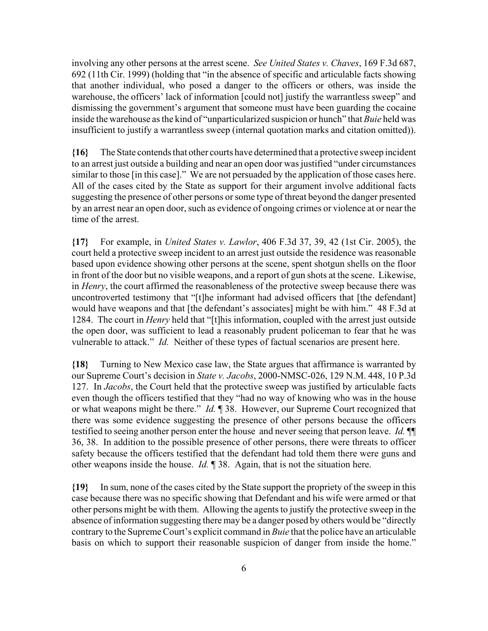involving any other persons at the arrest scene. *See United States v. Chaves*, 169 F.3d 687, 692 (11th Cir. 1999) (holding that "in the absence of specific and articulable facts showing that another individual, who posed a danger to the officers or others, was inside the warehouse, the officers' lack of information [could not] justify the warrantless sweep" and dismissing the government's argument that someone must have been guarding the cocaine inside the warehouse as the kind of "unparticularized suspicion or hunch" that *Buie* held was insufficient to justify a warrantless sweep (internal quotation marks and citation omitted)).

**{16}** The State contends that other courts have determined that a protective sweep incident to an arrest just outside a building and near an open door was justified "under circumstances similar to those [in this case]." We are not persuaded by the application of those cases here. All of the cases cited by the State as support for their argument involve additional facts suggesting the presence of other persons or some type of threat beyond the danger presented by an arrest near an open door, such as evidence of ongoing crimes or violence at or near the time of the arrest.

**{17}** For example, in *United States v. Lawlor*, 406 F.3d 37, 39, 42 (1st Cir. 2005), the court held a protective sweep incident to an arrest just outside the residence was reasonable based upon evidence showing other persons at the scene, spent shotgun shells on the floor in front of the door but no visible weapons, and a report of gun shots at the scene. Likewise, in *Henry*, the court affirmed the reasonableness of the protective sweep because there was uncontroverted testimony that "[t]he informant had advised officers that [the defendant] would have weapons and that [the defendant's associates] might be with him." 48 F.3d at 1284. The court in *Henry* held that "[t]his information, coupled with the arrest just outside the open door, was sufficient to lead a reasonably prudent policeman to fear that he was vulnerable to attack." *Id.* Neither of these types of factual scenarios are present here.

**{18}** Turning to New Mexico case law, the State argues that affirmance is warranted by our Supreme Court's decision in *State v. Jacobs*, 2000-NMSC-026, 129 N.M. 448, 10 P.3d 127. In *Jacobs*, the Court held that the protective sweep was justified by articulable facts even though the officers testified that they "had no way of knowing who was in the house or what weapons might be there." *Id.* ¶ 38. However, our Supreme Court recognized that there was some evidence suggesting the presence of other persons because the officers testified to seeing another person enter the house and never seeing that person leave. *Id.* ¶¶ 36, 38. In addition to the possible presence of other persons, there were threats to officer safety because the officers testified that the defendant had told them there were guns and other weapons inside the house. *Id.* ¶ 38. Again, that is not the situation here.

**{19}** In sum, none of the cases cited by the State support the propriety of the sweep in this case because there was no specific showing that Defendant and his wife were armed or that other persons might be with them. Allowing the agents to justify the protective sweep in the absence of information suggesting there may be a danger posed by others would be "directly contrary to the Supreme Court's explicit command in *Buie* that the police have an articulable basis on which to support their reasonable suspicion of danger from inside the home."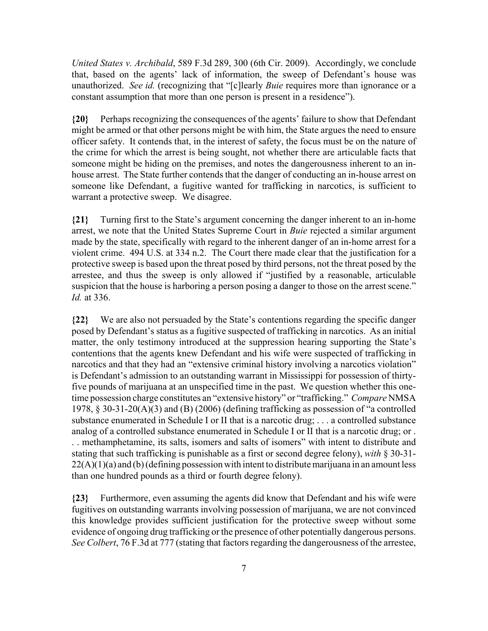*United States v. Archibald*, 589 F.3d 289, 300 (6th Cir. 2009). Accordingly, we conclude that, based on the agents' lack of information, the sweep of Defendant's house was unauthorized. *See id.* (recognizing that "[c]learly *Buie* requires more than ignorance or a constant assumption that more than one person is present in a residence").

**{20}** Perhaps recognizing the consequences of the agents' failure to show that Defendant might be armed or that other persons might be with him, the State argues the need to ensure officer safety. It contends that, in the interest of safety, the focus must be on the nature of the crime for which the arrest is being sought, not whether there are articulable facts that someone might be hiding on the premises, and notes the dangerousness inherent to an inhouse arrest. The State further contends that the danger of conducting an in-house arrest on someone like Defendant, a fugitive wanted for trafficking in narcotics, is sufficient to warrant a protective sweep. We disagree.

**{21}** Turning first to the State's argument concerning the danger inherent to an in-home arrest, we note that the United States Supreme Court in *Buie* rejected a similar argument made by the state, specifically with regard to the inherent danger of an in-home arrest for a violent crime. 494 U.S. at 334 n.2. The Court there made clear that the justification for a protective sweep is based upon the threat posed by third persons, not the threat posed by the arrestee, and thus the sweep is only allowed if "justified by a reasonable, articulable suspicion that the house is harboring a person posing a danger to those on the arrest scene." *Id.* at 336.

**{22}** We are also not persuaded by the State's contentions regarding the specific danger posed by Defendant's status as a fugitive suspected of trafficking in narcotics. As an initial matter, the only testimony introduced at the suppression hearing supporting the State's contentions that the agents knew Defendant and his wife were suspected of trafficking in narcotics and that they had an "extensive criminal history involving a narcotics violation" is Defendant's admission to an outstanding warrant in Mississippi for possession of thirtyfive pounds of marijuana at an unspecified time in the past. We question whether this onetime possession charge constitutes an "extensive history" or "trafficking." *Compare* NMSA 1978, § 30-31-20(A)(3) and (B) (2006) (defining trafficking as possession of "a controlled substance enumerated in Schedule I or II that is a narcotic drug; . . . a controlled substance analog of a controlled substance enumerated in Schedule I or II that is a narcotic drug; or . . . methamphetamine, its salts, isomers and salts of isomers" with intent to distribute and stating that such trafficking is punishable as a first or second degree felony), *with* § 30-31-  $22(A)(1)(a)$  and (b) (defining possession with intent to distribute marijuana in an amount less than one hundred pounds as a third or fourth degree felony).

**{23}** Furthermore, even assuming the agents did know that Defendant and his wife were fugitives on outstanding warrants involving possession of marijuana, we are not convinced this knowledge provides sufficient justification for the protective sweep without some evidence of ongoing drug trafficking or the presence of other potentially dangerous persons. *See Colbert*, 76 F.3d at 777 (stating that factors regarding the dangerousness of the arrestee,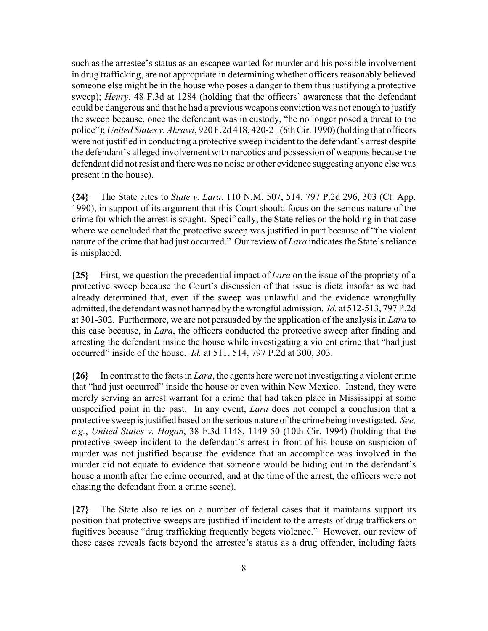such as the arrestee's status as an escapee wanted for murder and his possible involvement in drug trafficking, are not appropriate in determining whether officers reasonably believed someone else might be in the house who poses a danger to them thus justifying a protective sweep); *Henry*, 48 F.3d at 1284 (holding that the officers' awareness that the defendant could be dangerous and that he had a previous weapons conviction was not enough to justify the sweep because, once the defendant was in custody, "he no longer posed a threat to the police"); *United States v. Akrawi*, 920 F.2d 418, 420-21 (6th Cir. 1990) (holding that officers were not justified in conducting a protective sweep incident to the defendant's arrest despite the defendant's alleged involvement with narcotics and possession of weapons because the defendant did not resist and there was no noise or other evidence suggesting anyone else was present in the house).

**{24}** The State cites to *State v. Lara*, 110 N.M. 507, 514, 797 P.2d 296, 303 (Ct. App. 1990), in support of its argument that this Court should focus on the serious nature of the crime for which the arrest is sought. Specifically, the State relies on the holding in that case where we concluded that the protective sweep was justified in part because of "the violent nature of the crime that had just occurred." Our review of *Lara* indicates the State's reliance is misplaced.

**{25}** First, we question the precedential impact of *Lara* on the issue of the propriety of a protective sweep because the Court's discussion of that issue is dicta insofar as we had already determined that, even if the sweep was unlawful and the evidence wrongfully admitted, the defendant was not harmed by the wrongful admission. *Id.* at 512-513, 797 P.2d at 301-302. Furthermore, we are not persuaded by the application of the analysis in *Lara* to this case because, in *Lara*, the officers conducted the protective sweep after finding and arresting the defendant inside the house while investigating a violent crime that "had just occurred" inside of the house. *Id.* at 511, 514, 797 P.2d at 300, 303.

**{26}** In contrast to the facts in *Lara*, the agents here were not investigating a violent crime that "had just occurred" inside the house or even within New Mexico. Instead, they were merely serving an arrest warrant for a crime that had taken place in Mississippi at some unspecified point in the past. In any event, *Lara* does not compel a conclusion that a protective sweep is justified based on the serious nature of the crime being investigated. *See, e.g.*, *United States v. Hogan*, 38 F.3d 1148, 1149-50 (10th Cir. 1994) (holding that the protective sweep incident to the defendant's arrest in front of his house on suspicion of murder was not justified because the evidence that an accomplice was involved in the murder did not equate to evidence that someone would be hiding out in the defendant's house a month after the crime occurred, and at the time of the arrest, the officers were not chasing the defendant from a crime scene).

**{27}** The State also relies on a number of federal cases that it maintains support its position that protective sweeps are justified if incident to the arrests of drug traffickers or fugitives because "drug trafficking frequently begets violence." However, our review of these cases reveals facts beyond the arrestee's status as a drug offender, including facts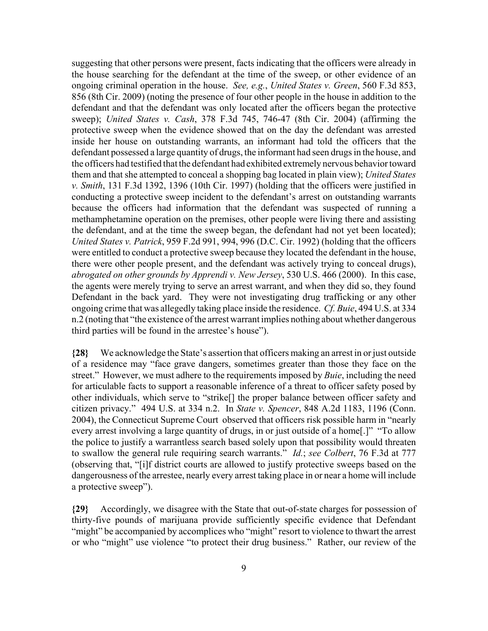suggesting that other persons were present, facts indicating that the officers were already in the house searching for the defendant at the time of the sweep, or other evidence of an ongoing criminal operation in the house. *See, e.g.*, *United States v. Green*, 560 F.3d 853, 856 (8th Cir. 2009) (noting the presence of four other people in the house in addition to the defendant and that the defendant was only located after the officers began the protective sweep); *United States v. Cash*, 378 F.3d 745, 746-47 (8th Cir. 2004) (affirming the protective sweep when the evidence showed that on the day the defendant was arrested inside her house on outstanding warrants, an informant had told the officers that the defendant possessed a large quantity of drugs, the informant had seen drugs in the house, and the officers had testified that the defendant had exhibited extremely nervous behavior toward them and that she attempted to conceal a shopping bag located in plain view); *United States v. Smith*, 131 F.3d 1392, 1396 (10th Cir. 1997) (holding that the officers were justified in conducting a protective sweep incident to the defendant's arrest on outstanding warrants because the officers had information that the defendant was suspected of running a methamphetamine operation on the premises, other people were living there and assisting the defendant, and at the time the sweep began, the defendant had not yet been located); *United States v. Patrick*, 959 F.2d 991, 994, 996 (D.C. Cir. 1992) (holding that the officers were entitled to conduct a protective sweep because they located the defendant in the house, there were other people present, and the defendant was actively trying to conceal drugs), *abrogated on other grounds by Apprendi v. New Jersey*, 530 U.S. 466 (2000). In this case, the agents were merely trying to serve an arrest warrant, and when they did so, they found Defendant in the back yard. They were not investigating drug trafficking or any other ongoing crime that was allegedly taking place inside the residence. *Cf. Buie*, 494 U.S. at 334 n.2 (noting that "the existence of the arrest warrant implies nothing about whether dangerous third parties will be found in the arrestee's house").

**{28}** We acknowledge the State's assertion that officers making an arrest in or just outside of a residence may "face grave dangers, sometimes greater than those they face on the street." However, we must adhere to the requirements imposed by *Buie*, including the need for articulable facts to support a reasonable inference of a threat to officer safety posed by other individuals, which serve to "strike[] the proper balance between officer safety and citizen privacy." 494 U.S. at 334 n.2. In *State v. Spencer*, 848 A.2d 1183, 1196 (Conn. 2004), the Connecticut Supreme Court observed that officers risk possible harm in "nearly every arrest involving a large quantity of drugs, in or just outside of a home[.]" "To allow the police to justify a warrantless search based solely upon that possibility would threaten to swallow the general rule requiring search warrants." *Id.*; *see Colbert*, 76 F.3d at 777 (observing that, "[i]f district courts are allowed to justify protective sweeps based on the dangerousness of the arrestee, nearly every arrest taking place in or near a home will include a protective sweep").

**{29}** Accordingly, we disagree with the State that out-of-state charges for possession of thirty-five pounds of marijuana provide sufficiently specific evidence that Defendant "might" be accompanied by accomplices who "might" resort to violence to thwart the arrest or who "might" use violence "to protect their drug business." Rather, our review of the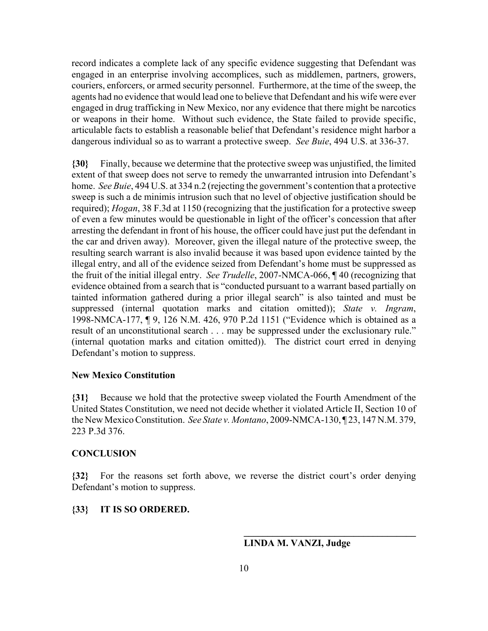record indicates a complete lack of any specific evidence suggesting that Defendant was engaged in an enterprise involving accomplices, such as middlemen, partners, growers, couriers, enforcers, or armed security personnel. Furthermore, at the time of the sweep, the agents had no evidence that would lead one to believe that Defendant and his wife were ever engaged in drug trafficking in New Mexico, nor any evidence that there might be narcotics or weapons in their home. Without such evidence, the State failed to provide specific, articulable facts to establish a reasonable belief that Defendant's residence might harbor a dangerous individual so as to warrant a protective sweep. *See Buie*, 494 U.S. at 336-37.

**{30}** Finally, because we determine that the protective sweep was unjustified, the limited extent of that sweep does not serve to remedy the unwarranted intrusion into Defendant's home. *See Buie*, 494 U.S. at 334 n.2 (rejecting the government's contention that a protective sweep is such a de minimis intrusion such that no level of objective justification should be required); *Hogan*, 38 F.3d at 1150 (recognizing that the justification for a protective sweep of even a few minutes would be questionable in light of the officer's concession that after arresting the defendant in front of his house, the officer could have just put the defendant in the car and driven away). Moreover, given the illegal nature of the protective sweep, the resulting search warrant is also invalid because it was based upon evidence tainted by the illegal entry, and all of the evidence seized from Defendant's home must be suppressed as the fruit of the initial illegal entry. *See Trudelle*, 2007-NMCA-066, ¶ 40 (recognizing that evidence obtained from a search that is "conducted pursuant to a warrant based partially on tainted information gathered during a prior illegal search" is also tainted and must be suppressed (internal quotation marks and citation omitted)); *State v. Ingram*, 1998-NMCA-177, ¶ 9, 126 N.M. 426, 970 P.2d 1151 ("Evidence which is obtained as a result of an unconstitutional search . . . may be suppressed under the exclusionary rule." (internal quotation marks and citation omitted)). The district court erred in denying Defendant's motion to suppress.

# **New Mexico Constitution**

**{31}** Because we hold that the protective sweep violated the Fourth Amendment of the United States Constitution, we need not decide whether it violated Article II, Section 10 of the New Mexico Constitution. *See State v. Montano*, 2009-NMCA-130, ¶ 23, 147 N.M. 379, 223 P.3d 376.

# **CONCLUSION**

**{32}** For the reasons set forth above, we reverse the district court's order denying Defendant's motion to suppress.

## **{33} IT IS SO ORDERED.**

**\_\_\_\_\_\_\_\_\_\_\_\_\_\_\_\_\_\_\_\_\_\_\_\_\_\_\_\_\_\_\_\_\_\_\_\_**